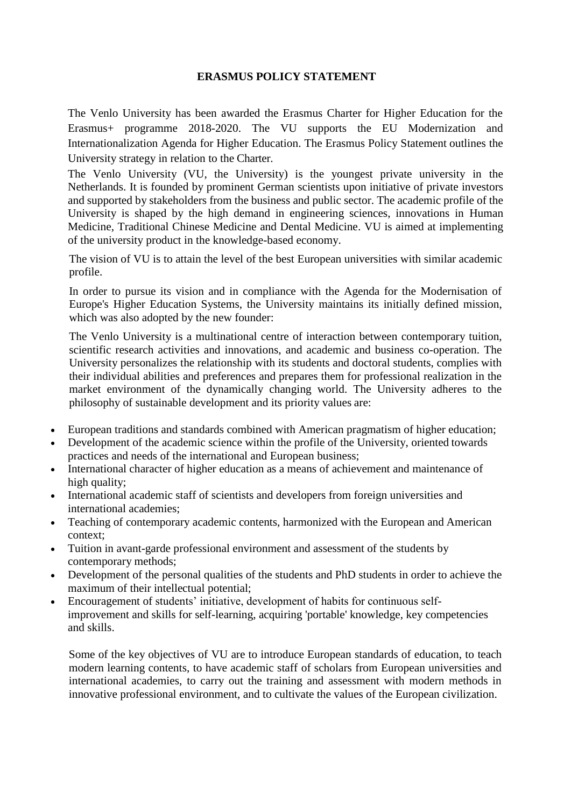## **ERASMUS POLICY STATEMENT**

The Venlo University has been awarded the Erasmus Charter for Higher Education for the Erasmus+ programme 2018-2020. The VU supports the EU Modernization and Internationalization Agenda for Higher Education. The Erasmus Policy Statement outlines the University strategy in relation to the Charter.

The Venlo University (VU, the University) is the youngest private university in the Netherlands. It is founded by prominent German scientists upon initiative of private investors and supported by stakeholders from the business and public sector. The academic profile of the University is shaped by the high demand in engineering sciences, innovations in Human Medicine, Traditional Chinese Medicine and Dental Medicine. VU is aimed at implementing of the university product in the knowledge-based economy.

The vision of VU is to attain the level of the best European universities with similar academic profile.

In order to pursue its vision and in compliance with the Agenda for the Modernisation of Europe's Higher Education Systems, the University maintains its initially defined mission, which was also adopted by the new founder:

The Venlo University is a multinational centre of interaction between contemporary tuition, scientific research activities and innovations, and academic and business co-operation. The University personalizes the relationship with its students and doctoral students, complies with their individual abilities and preferences and prepares them for professional realization in the market environment of the dynamically changing world. The University adheres to the philosophy of sustainable development and its priority values are:

- European traditions and standards combined with American pragmatism of higher education;
- Development of the academic science within the profile of the University, oriented towards practices and needs of the international and European business;
- International character of higher education as a means of achievement and maintenance of high quality;
- International academic staff of scientists and developers from foreign universities and international academies;
- Teaching of contemporary academic contents, harmonized with the European and American context;
- Tuition in avant-garde professional environment and assessment of the students by contemporary methods;
- Development of the personal qualities of the students and PhD students in order to achieve the maximum of their intellectual potential;
- Encouragement of students' initiative, development of habits for continuous selfimprovement and skills for self-learning, acquiring 'portable' knowledge, key competencies and skills.

Some of the key objectives of VU are to introduce European standards of education, to teach modern learning contents, to have academic staff of scholars from European universities and international academies, to carry out the training and assessment with modern methods in innovative professional environment, and to cultivate the values of the European civilization.